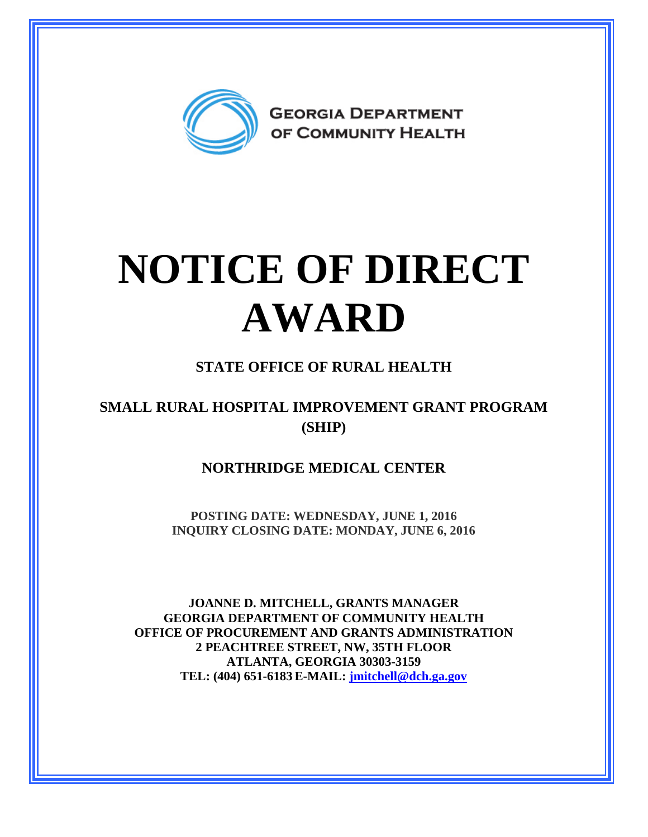

# **NOTICE OF DIRECT AWARD**

### **STATE OFFICE OF RURAL HEALTH**

#### **SMALL RURAL HOSPITAL IMPROVEMENT GRANT PROGRAM (SHIP)**

#### **NORTHRIDGE MEDICAL CENTER**

**POSTING DATE: WEDNESDAY, JUNE 1, 2016 INQUIRY CLOSING DATE: MONDAY, JUNE 6, 2016** 

**JOANNE D. MITCHELL, GRANTS MANAGER GEORGIA DEPARTMENT OF COMMUNITY HEALTH OFFICE OF PROCUREMENT AND GRANTS ADMINISTRATION 2 PEACHTREE STREET, NW, 35TH FLOOR ATLANTA, GEORGIA 30303-3159 TEL: (404) 651-6183 E-MAIL: [jmitchell@dch.ga.gov](mailto:awatson@dch.ga.gov)**